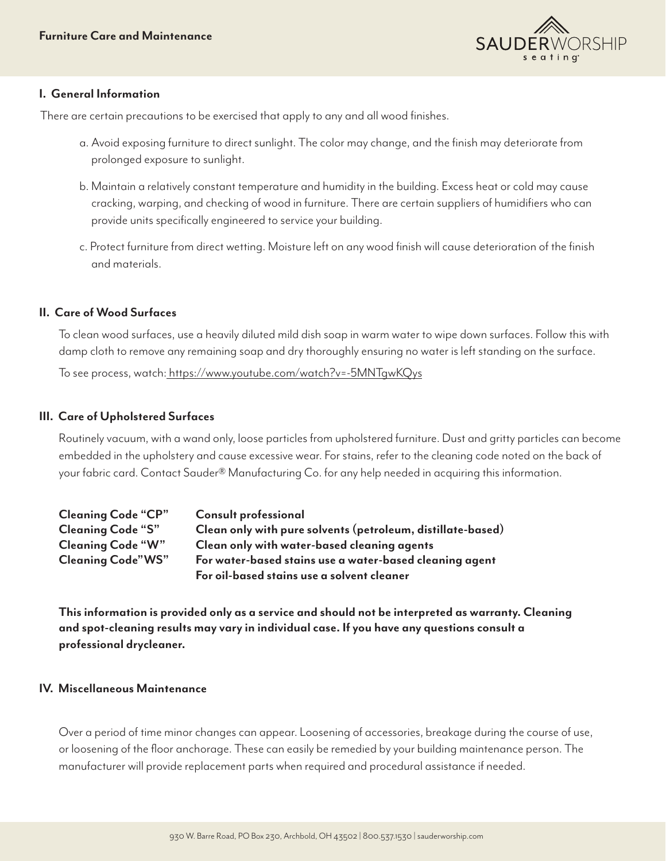

## **I. General Information**

There are certain precautions to be exercised that apply to any and all wood finishes.

- a. Avoid exposing furniture to direct sunlight. The color may change, and the finish may deteriorate from prolonged exposure to sunlight.
- b. Maintain a relatively constant temperature and humidity in the building. Excess heat or cold may cause cracking, warping, and checking of wood in furniture. There are certain suppliers of humidifiers who can provide units specifically engineered to service your building.
- c. Protect furniture from direct wetting. Moisture left on any wood finish will cause deterioration of the finish and materials.

# **II. Care of Wood Surfaces**

To clean wood surfaces, use a heavily diluted mild dish soap in warm water to wipe down surfaces. Follow this with damp cloth to remove any remaining soap and dry thoroughly ensuring no water is left standing on the surface.

To see process, watch: <https://www.youtube.com/watch?v=-5MNTgwKQys>

# **III. Care of Upholstered Surfaces**

Routinely vacuum, with a wand only, loose particles from upholstered furniture. Dust and gritty particles can become embedded in the upholstery and cause excessive wear. For stains, refer to the cleaning code noted on the back of your fabric card. Contact Sauder® Manufacturing Co. for any help needed in acquiring this information.

| <b>Cleaning Code "CP"</b> | <b>Consult professional</b>                                 |
|---------------------------|-------------------------------------------------------------|
| Cleaning Code "S"         | Clean only with pure solvents (petroleum, distillate-based) |
| <b>Cleaning Code "W"</b>  | Clean only with water-based cleaning agents                 |
| Cleaning Code"WS"         | For water-based stains use a water-based cleaning agent     |
|                           | For oil-based stains use a solvent cleaner                  |

**This information is provided only as a service and should not be interpreted as warranty. Cleaning and spot-cleaning results may vary in individual case. If you have any questions consult a professional drycleaner.**

## **IV. Miscellaneous Maintenance**

Over a period of time minor changes can appear. Loosening of accessories, breakage during the course of use, or loosening of the floor anchorage. These can easily be remedied by your building maintenance person. The manufacturer will provide replacement parts when required and procedural assistance if needed.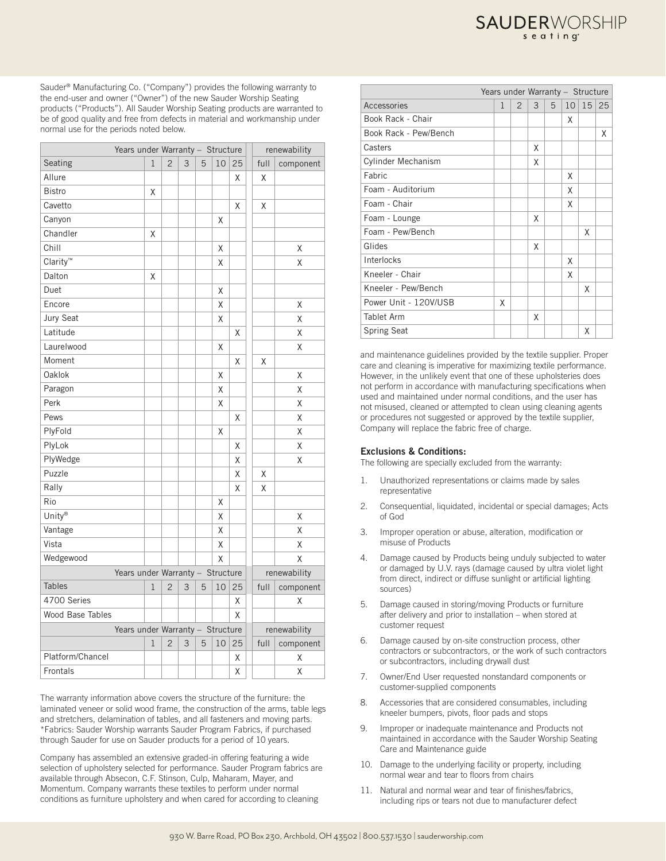Sauder® Manufacturing Co. ("Company") provides the following warranty to the end-user and owner ("Owner") of the new Sauder Worship Seating products ("Products"). All Sauder Worship Seating products are warranted to be of good quality and free from defects in material and workmanship under normal use for the periods noted below.

| Years under Warranty - Structure |   |                |   |   |    |              |              | renewability |  |  |
|----------------------------------|---|----------------|---|---|----|--------------|--------------|--------------|--|--|
| Seating                          | 1 | $\overline{c}$ | 3 | 5 | 10 | 25           | full         | component    |  |  |
| Allure                           |   |                |   |   |    | Χ            | Χ            |              |  |  |
| <b>Bistro</b>                    | Χ |                |   |   |    |              |              |              |  |  |
| Cavetto                          |   |                |   |   |    | Χ            | Χ            |              |  |  |
| Canyon                           |   |                |   |   | Χ  |              |              |              |  |  |
| Chandler                         | Χ |                |   |   |    |              |              |              |  |  |
| Chill                            |   |                |   |   | Χ  |              |              | Χ            |  |  |
| Clarity™                         |   |                |   |   | X  |              |              | X            |  |  |
| Dalton                           | Χ |                |   |   |    |              |              |              |  |  |
| Duet                             |   |                |   |   | Χ  |              |              |              |  |  |
| Encore                           |   |                |   |   | X  |              |              | Χ            |  |  |
| Jury Seat                        |   |                |   |   | X  |              |              | X            |  |  |
| Latitude                         |   |                |   |   |    | X            |              | X            |  |  |
| Laurelwood                       |   |                |   |   | X  |              |              | X            |  |  |
| Moment                           |   |                |   |   |    | X            | Χ            |              |  |  |
| Oaklok                           |   |                |   |   | X  |              |              | Χ            |  |  |
| Paragon                          |   |                |   |   | Χ  |              |              | Χ            |  |  |
| Perk                             |   |                |   |   | Χ  |              |              | Χ            |  |  |
| Pews                             |   |                |   |   |    | Χ            |              | X            |  |  |
| PlyFold                          |   |                |   |   | Χ  |              |              | Χ            |  |  |
| PlyLok                           |   |                |   |   |    | Χ            |              | Χ            |  |  |
| PlyWedge                         |   |                |   |   |    | Χ            |              | Χ            |  |  |
| Puzzle                           |   |                |   |   |    | Χ            | Χ            |              |  |  |
| Rally                            |   |                |   |   |    | Χ            | Χ            |              |  |  |
| Rio                              |   |                |   |   | Χ  |              |              |              |  |  |
| Unity®                           |   |                |   |   | Χ  |              |              | Χ            |  |  |
| Vantage                          |   |                |   |   | X  |              |              | X            |  |  |
| Vista                            |   |                |   |   | Χ  |              |              | Χ            |  |  |
| Wedgewood                        |   |                |   |   | Χ  |              |              | X            |  |  |
| Years under Warranty - Structure |   |                |   |   |    |              | renewability |              |  |  |
| <b>Tables</b>                    | 1 | $\overline{2}$ | 3 | 5 | 10 | 25           | full         | component    |  |  |
| 4700 Series                      |   |                |   |   |    | Χ            |              | Χ            |  |  |
| Wood Base Tables                 |   |                |   |   |    | Χ            |              |              |  |  |
| Years under Warranty - Structure |   |                |   |   |    | renewability |              |              |  |  |
|                                  | 1 | $\overline{2}$ | 3 | 5 | 10 | 25           | full         | component    |  |  |
| Platform/Chancel                 |   |                |   |   |    | Χ            |              | Χ            |  |  |
| Frontals                         |   |                |   |   |    | X            |              | Χ            |  |  |

The warranty information above covers the structure of the furniture: the laminated veneer or solid wood frame, the construction of the arms, table legs and stretchers, delamination of tables, and all fasteners and moving parts. \*Fabrics: Sauder Worship warrants Sauder Program Fabrics, if purchased through Sauder for use on Sauder products for a period of 10 years.

Company has assembled an extensive graded-in offering featuring a wide selection of upholstery selected for performance. Sauder Program fabrics are available through Absecon, C.F. Stinson, Culp, Maharam, Mayer, and Momentum. Company warrants these textiles to perform under normal conditions as furniture upholstery and when cared for according to cleaning

|                           | Years under Warranty - Structure |                |   |   |    |    |    |
|---------------------------|----------------------------------|----------------|---|---|----|----|----|
| Accessories               | $\mathbf{1}$                     | $\overline{2}$ | 3 | 5 | 10 | 15 | 25 |
| Book Rack - Chair         |                                  |                |   |   | X  |    |    |
| Book Rack - Pew/Bench     |                                  |                |   |   |    |    | X  |
| Casters                   |                                  |                | Χ |   |    |    |    |
| <b>Cylinder Mechanism</b> |                                  |                | X |   |    |    |    |
| Fabric                    |                                  |                |   |   | X  |    |    |
| Foam - Auditorium         |                                  |                |   |   | X  |    |    |
| Foam - Chair              |                                  |                |   |   | X  |    |    |
| Foam - Lounge             |                                  |                | X |   |    |    |    |
| Foam - Pew/Bench          |                                  |                |   |   |    | X  |    |
| Glides                    |                                  |                | X |   |    |    |    |
| Interlocks                |                                  |                |   |   | X  |    |    |
| Kneeler - Chair           |                                  |                |   |   | X  |    |    |
| Kneeler - Pew/Bench       |                                  |                |   |   |    | X  |    |
| Power Unit - 120V/USB     | X                                |                |   |   |    |    |    |
| Tablet Arm                |                                  |                | χ |   |    |    |    |
| <b>Spring Seat</b>        |                                  |                |   |   |    | Χ  |    |

**SAUDER**WORSHIP

and maintenance guidelines provided by the textile supplier. Proper care and cleaning is imperative for maximizing textile performance. However, in the unlikely event that one of these upholsteries does not perform in accordance with manufacturing specifications when used and maintained under normal conditions, and the user has not misused, cleaned or attempted to clean using cleaning agents or procedures not suggested or approved by the textile supplier, Company will replace the fabric free of charge.

### Exclusions & Conditions:

The following are specially excluded from the warranty:

- 1. Unauthorized representations or claims made by sales representative
- 2. Consequential, liquidated, incidental or special damages; Acts of God
- 3. Improper operation or abuse, alteration, modification or misuse of Products
- 4. Damage caused by Products being unduly subjected to water or damaged by U.V. rays (damage caused by ultra violet light from direct, indirect or diffuse sunlight or artificial lighting sources)
- 5. Damage caused in storing/moving Products or furniture after delivery and prior to installation – when stored at customer request
- 6. Damage caused by on-site construction process, other contractors or subcontractors, or the work of such contractors or subcontractors, including drywall dust
- 7. Owner/End User requested nonstandard components or customer-supplied components
- 8. Accessories that are considered consumables, including kneeler bumpers, pivots, floor pads and stops
- 9. Improper or inadequate maintenance and Products not maintained in accordance with the Sauder Worship Seating Care and Maintenance guide
- 10. Damage to the underlying facility or property, including normal wear and tear to floors from chairs
- 11. Natural and normal wear and tear of finishes/fabrics including rips or tears not due to manufacturer defect